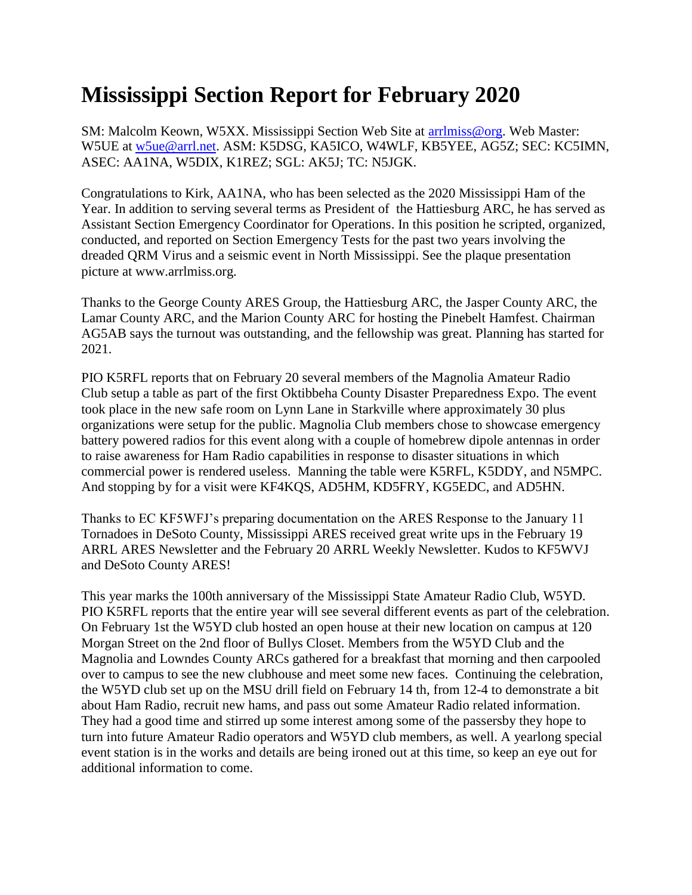## **Mississippi Section Report for February 2020**

SM: Malcolm Keown, W5XX. Mississippi Section Web Site at [arrlmiss@org.](mailto:arrlmiss@org) Web Master: W5UE at [w5ue@arrl.net.](mailto:w5ue@arrl.net) ASM: K5DSG, KA5ICO, W4WLF, KB5YEE, AG5Z; SEC: KC5IMN, ASEC: AA1NA, W5DIX, K1REZ; SGL: AK5J; TC: N5JGK.

Congratulations to Kirk, AA1NA, who has been selected as the 2020 Mississippi Ham of the Year. In addition to serving several terms as President of the Hattiesburg ARC, he has served as Assistant Section Emergency Coordinator for Operations. In this position he scripted, organized, conducted, and reported on Section Emergency Tests for the past two years involving the dreaded QRM Virus and a seismic event in North Mississippi. See the plaque presentation picture at www.arrlmiss.org.

Thanks to the George County ARES Group, the Hattiesburg ARC, the Jasper County ARC, the Lamar County ARC, and the Marion County ARC for hosting the Pinebelt Hamfest. Chairman AG5AB says the turnout was outstanding, and the fellowship was great. Planning has started for 2021.

PIO K5RFL reports that on February 20 several members of the Magnolia Amateur Radio Club setup a table as part of the first Oktibbeha County Disaster Preparedness Expo. The event took place in the new safe room on Lynn Lane in Starkville where approximately 30 plus organizations were setup for the public. Magnolia Club members chose to showcase emergency battery powered radios for this event along with a couple of homebrew dipole antennas in order to raise awareness for Ham Radio capabilities in response to disaster situations in which commercial power is rendered useless. Manning the table were K5RFL, K5DDY, and N5MPC. And stopping by for a visit were KF4KQS, AD5HM, KD5FRY, KG5EDC, and AD5HN.

Thanks to EC KF5WFJ's preparing documentation on the ARES Response to the January 11 Tornadoes in DeSoto County, Mississippi ARES received great write ups in the February 19 ARRL ARES Newsletter and the February 20 ARRL Weekly Newsletter. Kudos to KF5WVJ and DeSoto County ARES!

This year marks the 100th anniversary of the Mississippi State Amateur Radio Club, W5YD. PIO K5RFL reports that the entire year will see several different events as part of the celebration. On February 1st the W5YD club hosted an open house at their new location on campus at 120 Morgan Street on the 2nd floor of Bullys Closet. Members from the W5YD Club and the Magnolia and Lowndes County ARCs gathered for a breakfast that morning and then carpooled over to campus to see the new clubhouse and meet some new faces. Continuing the celebration, the W5YD club set up on the MSU drill field on February 14 th, from 12-4 to demonstrate a bit about Ham Radio, recruit new hams, and pass out some Amateur Radio related information. They had a good time and stirred up some interest among some of the passersby they hope to turn into future Amateur Radio operators and W5YD club members, as well. A yearlong special event station is in the works and details are being ironed out at this time, so keep an eye out for additional information to come.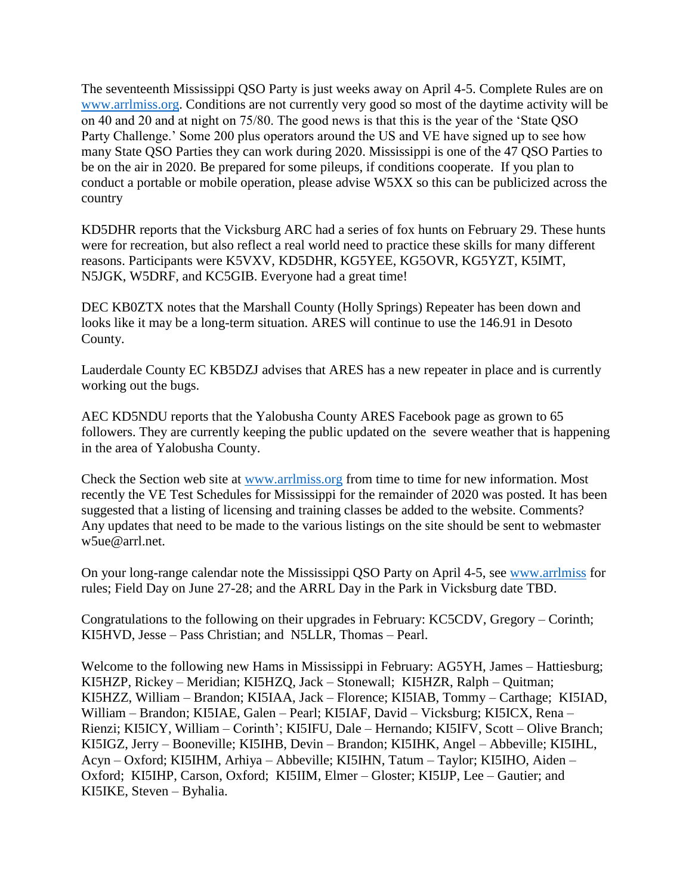The seventeenth Mississippi QSO Party is just weeks away on April 4-5. Complete Rules are on [www.arrlmiss.org.](http://www.arrlmiss.org/) Conditions are not currently very good so most of the daytime activity will be on 40 and 20 and at night on 75/80. The good news is that this is the year of the 'State QSO Party Challenge.' Some 200 plus operators around the US and VE have signed up to see how many State QSO Parties they can work during 2020. Mississippi is one of the 47 QSO Parties to be on the air in 2020. Be prepared for some pileups, if conditions cooperate. If you plan to conduct a portable or mobile operation, please advise W5XX so this can be publicized across the country

KD5DHR reports that the Vicksburg ARC had a series of fox hunts on February 29. These hunts were for recreation, but also reflect a real world need to practice these skills for many different reasons. Participants were K5VXV, KD5DHR, KG5YEE, KG5OVR, KG5YZT, K5IMT, N5JGK, W5DRF, and KC5GIB. Everyone had a great time!

DEC KB0ZTX notes that the Marshall County (Holly Springs) Repeater has been down and looks like it may be a long-term situation. ARES will continue to use the 146.91 in Desoto County.

Lauderdale County EC KB5DZJ advises that ARES has a new repeater in place and is currently working out the bugs.

AEC KD5NDU reports that the Yalobusha County ARES Facebook page as grown to 65 followers. They are currently keeping the public updated on the severe weather that is happening in the area of Yalobusha County.

Check the Section web site at [www.arrlmiss.org](http://www.arrlmiss.org/) from time to time for new information. Most recently the VE Test Schedules for Mississippi for the remainder of 2020 was posted. It has been suggested that a listing of licensing and training classes be added to the website. Comments? Any updates that need to be made to the various listings on the site should be sent to webmaster w5ue@arrl.net.

On your long-range calendar note the Mississippi QSO Party on April 4-5, see [www.arrlmiss](http://www.arrlmiss/) for rules; Field Day on June 27-28; and the ARRL Day in the Park in Vicksburg date TBD.

Congratulations to the following on their upgrades in February: KC5CDV, Gregory – Corinth; KI5HVD, Jesse – Pass Christian; and N5LLR, Thomas – Pearl.

Welcome to the following new Hams in Mississippi in February: AG5YH, James – Hattiesburg; KI5HZP, Rickey – Meridian; KI5HZQ, Jack – Stonewall; KI5HZR, Ralph – Quitman; KI5HZZ, William – Brandon; KI5IAA, Jack – Florence; KI5IAB, Tommy – Carthage; KI5IAD, William – Brandon; KI5IAE, Galen – Pearl; KI5IAF, David – Vicksburg; KI5ICX, Rena – Rienzi; KI5ICY, William – Corinth'; KI5IFU, Dale – Hernando; KI5IFV, Scott – Olive Branch; KI5IGZ, Jerry – Booneville; KI5IHB, Devin – Brandon; KI5IHK, Angel – Abbeville; KI5IHL, Acyn – Oxford; KI5IHM, Arhiya – Abbeville; KI5IHN, Tatum – Taylor; KI5IHO, Aiden – Oxford; KI5IHP, Carson, Oxford; KI5IIM, Elmer – Gloster; KI5IJP, Lee – Gautier; and KI5IKE, Steven – Byhalia.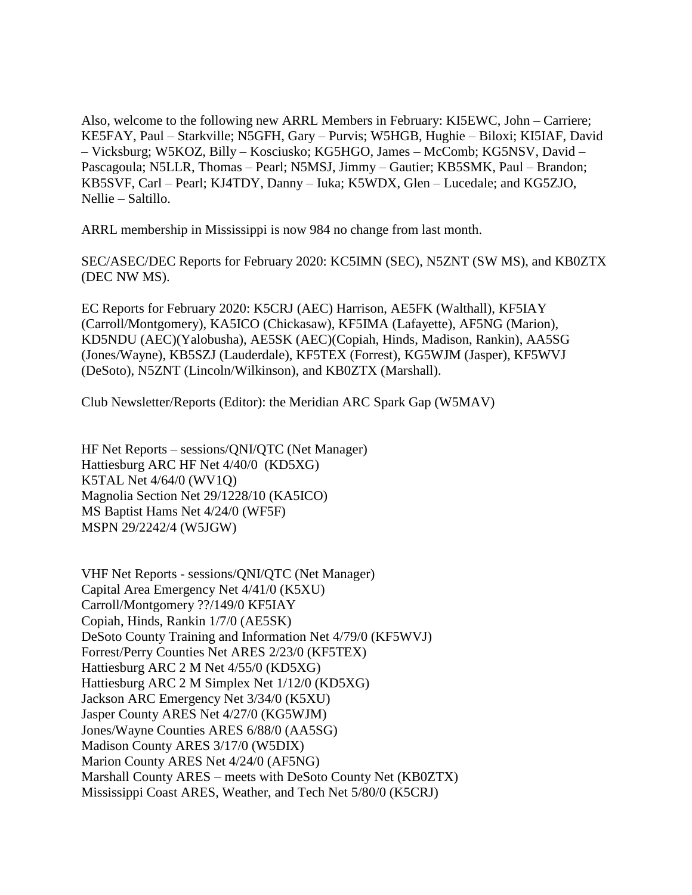Also, welcome to the following new ARRL Members in February: KI5EWC, John – Carriere; KE5FAY, Paul – Starkville; N5GFH, Gary – Purvis; W5HGB, Hughie – Biloxi; KI5IAF, David – Vicksburg; W5KOZ, Billy – Kosciusko; KG5HGO, James – McComb; KG5NSV, David – Pascagoula; N5LLR, Thomas – Pearl; N5MSJ, Jimmy – Gautier; KB5SMK, Paul – Brandon; KB5SVF, Carl – Pearl; KJ4TDY, Danny – Iuka; K5WDX, Glen – Lucedale; and KG5ZJO, Nellie – Saltillo.

ARRL membership in Mississippi is now 984 no change from last month.

SEC/ASEC/DEC Reports for February 2020: KC5IMN (SEC), N5ZNT (SW MS), and KB0ZTX (DEC NW MS).

EC Reports for February 2020: K5CRJ (AEC) Harrison, AE5FK (Walthall), KF5IAY (Carroll/Montgomery), KA5ICO (Chickasaw), KF5IMA (Lafayette), AF5NG (Marion), KD5NDU (AEC)(Yalobusha), AE5SK (AEC)(Copiah, Hinds, Madison, Rankin), AA5SG (Jones/Wayne), KB5SZJ (Lauderdale), KF5TEX (Forrest), KG5WJM (Jasper), KF5WVJ (DeSoto), N5ZNT (Lincoln/Wilkinson), and KB0ZTX (Marshall).

Club Newsletter/Reports (Editor): the Meridian ARC Spark Gap (W5MAV)

HF Net Reports – sessions/QNI/QTC (Net Manager) Hattiesburg ARC HF Net 4/40/0 (KD5XG) K5TAL Net 4/64/0 (WV1Q) Magnolia Section Net 29/1228/10 (KA5ICO) MS Baptist Hams Net 4/24/0 (WF5F) MSPN 29/2242/4 (W5JGW)

VHF Net Reports - sessions/QNI/QTC (Net Manager) Capital Area Emergency Net 4/41/0 (K5XU) Carroll/Montgomery ??/149/0 KF5IAY Copiah, Hinds, Rankin 1/7/0 (AE5SK) DeSoto County Training and Information Net 4/79/0 (KF5WVJ) Forrest/Perry Counties Net ARES 2/23/0 (KF5TEX) Hattiesburg ARC 2 M Net 4/55/0 (KD5XG) Hattiesburg ARC 2 M Simplex Net 1/12/0 (KD5XG) Jackson ARC Emergency Net 3/34/0 (K5XU) Jasper County ARES Net 4/27/0 (KG5WJM) Jones/Wayne Counties ARES 6/88/0 (AA5SG) Madison County ARES 3/17/0 (W5DIX) Marion County ARES Net 4/24/0 (AF5NG) Marshall County ARES – meets with DeSoto County Net (KB0ZTX) Mississippi Coast ARES, Weather, and Tech Net 5/80/0 (K5CRJ)